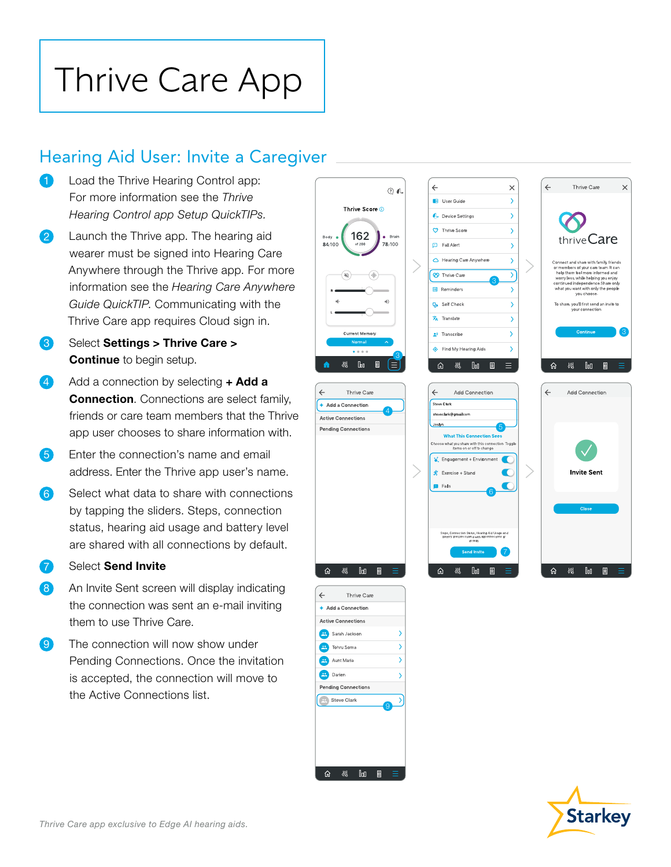# Thrive Care App

### Hearing Aid User: Invite a Caregiver

- Load the Thrive Hearing Control app: For more information see the *Thrive Hearing Control app Setup QuickTIPs.*
- 2 Launch the Thrive app. The hearing aid wearer must be signed into Hearing Care Anywhere through the Thrive app. For more information see the *Hearing Care Anywhere Guide QuickTIP*. Communicating with the Thrive Care app requires Cloud sign in.
- 3 Select Settings > Thrive Care > **Continue** to begin setup.
- Add a connection by selecting  $+$  Add a **Connection.** Connections are select family. friends or care team members that the Thrive app user chooses to share information with.
- 5 Enter the connection's name and email address. Enter the Thrive app user's name.
- 6 Select what data to share with connections by tapping the sliders. Steps, connection status, hearing aid usage and battery level are shared with all connections by default.
- **7** Select **Send Invite**
- 8 An Invite Sent screen will display indicating the connection was sent an e-mail inviting them to use Thrive Care.
- **9** The connection will now show under Pending Connections. Once the invitation is accepted, the connection will move to the Active Connections list.



 $\div$  Add a Connection

 $\leftarrow$ 

Thrive Care

Active Connections Sarah Jackson Tohru Soma

Pending Connections Steve Clark

命纵咖圈

9

 $\rightarrow$ 

 $\overline{\phantom{a}}$  $\overline{\phantom{a}}$  $\overline{\phantom{0}}$  $\rightarrow$ 

**Darien** Aunt Maria

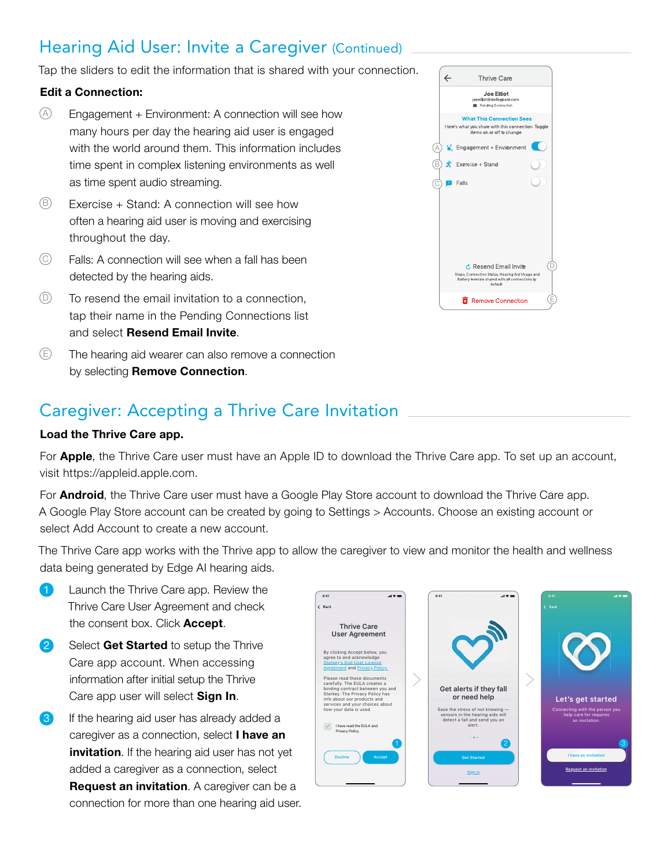### Hearing Aid User: Invite a Caregiver (Continued)

Tap the sliders to edit the information that is shared with your connection.

#### Edit a Connection:

- $\circledA$  Engagement + Environment: A connection will see how many hours per day the hearing aid user is engaged with the world around them. This information includes time spent in complex listening environments as well as time spent audio streaming.
- $\circledR$  Exercise + Stand: A connection will see how often a hearing aid user is moving and exercising throughout the day.
- $\circled{c}$  Falls: A connection will see when a fall has been detected by the hearing aids.
- $\circled{D}$  To resend the email invitation to a connection, tap their name in the Pending Connections list and select Resend Email Invite.
- $\circled{E}$  The hearing aid wearer can also remove a connection by selecting Remove Connection.

|          | <b>Thrive Care</b>                                                                                                                                 |  |
|----------|----------------------------------------------------------------------------------------------------------------------------------------------------|--|
|          | <b>Joe Elliot</b><br>ioeelliot@deflecpard.com<br>Pending Connection                                                                                |  |
|          | <b>What This Connection Sees</b><br>Here's what you share with this connection. Toggle<br>items on or off to change.                               |  |
| Ά,       | Contract Function Environment                                                                                                                      |  |
| Έ        | $\mathbf{\dot{F}}$ Exercise + Stand                                                                                                                |  |
| íC<br>пI | Falls                                                                                                                                              |  |
|          |                                                                                                                                                    |  |
|          |                                                                                                                                                    |  |
|          |                                                                                                                                                    |  |
|          |                                                                                                                                                    |  |
|          | $\dot{c}$ , Resend Email Invite<br>Steps, Connection Status, Hearing Aid Usage and<br>Battery level are shared with all connections by<br>default. |  |
|          | <b>E</b> Remove Connection                                                                                                                         |  |

#### Caregiver: Accepting a Thrive Care Invitation

#### Load the Thrive Care app.

For **Apple**, the Thrive Care user must have an Apple ID to download the Thrive Care app. To set up an account, visit https://appleid.apple.com.

For **Android**, the Thrive Care user must have a Google Play Store account to download the Thrive Care app. A Google Play Store account can be created by going to Settings > Accounts. Choose an existing account or select Add Account to create a new account.

The Thrive Care app works with the Thrive app to allow the caregiver to view and monitor the health and wellness data being generated by Edge AI hearing aids.

- **1** Launch the Thrive Care app. Review the Thrive Care User Agreement and check the consent box. Click Accept.
- 2 Select Get Started to setup the Thrive Care app account. When accessing information after initial setup the Thrive Care app user will select Sign In.
- **3** If the hearing aid user has already added a caregiver as a connection, select I have an invitation. If the hearing aid user has not yet added a caregiver as a connection, select **Request an invitation**. A caregiver can be a connection for more than one hearing aid user.

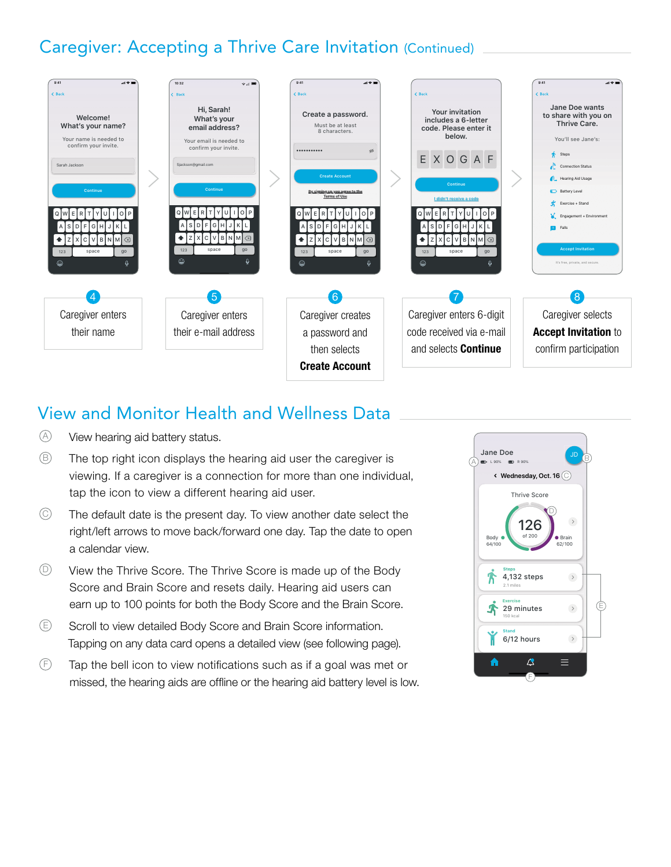## Caregiver: Accepting a Thrive Care Invitation (Continued)



#### View and Monitor Health and Wellness Data

- A View hearing aid battery status.
- $\circled{B}$  The top right icon displays the hearing aid user the caregiver is viewing. If a caregiver is a connection for more than one individual, tap the icon to view a different hearing aid user.
- $\heartsuit$  The default date is the present day. To view another date select the right/left arrows to move back/forward one day. Tap the date to open a calendar view.
- $\circled{D}$  View the Thrive Score. The Thrive Score is made up of the Body Score and Brain Score and resets daily. Hearing aid users can earn up to 100 points for both the Body Score and the Brain Score.
- E Scroll to view detailed Body Score and Brain Score information. Tapping on any data card opens a detailed view (see following page).
- $\circled{F}$  Tap the bell icon to view notifications such as if a goal was met or missed, the hearing aids are offline or the hearing aid battery level is low.